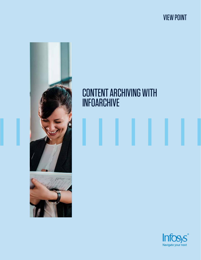VIEW POINT



# CONTENT ARCHIVING WITH INFOARCHIVE

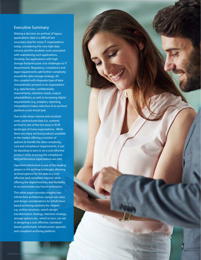#### Executive Summary

Making a decision on archival of legacy applications' data is a difficult but necessary step for many IT organizations today, considering the very high data volume and the resultant costs associated with maintaining such applications. Similarly, live applications with high storage footprint pose cost challenges to IT departments. Regulatory, compliance and legal requirements add further complexity around the data storage strategy. All this, coupled with disparate type of data characteristics present in an organization (e.g. data formats, confidentiality requirements, retention needs, output adaptabilities), as well as increasing digital requirements (e.g. analytics, reporting, integrations) makes selection of an archival platform a non-trivial task.

Due to the sheer volume and resultant costs, unstructured data (i.e. content) archival is one of the hot areas in ECM landscape of many organizations. While there are many archival products available in the market offering a number of options to handle the data complexity, cost and compliance requirements, it can be daunting to zero-in on a cost effective product while ensuring the compliance and performance expectations are met.

OpenText InfoArchive is one of the leading players in the archival landscape, allowing archival options for the data in a costeffective and compliant manner, while offering the digital features, and flexibility to accommodate any future extensions.

This white paper provides insights into InfoArchive architecture, typical use cases and design considerations for InfoArchive based archiving solutions for content e.g. archive structure, search design, transformation strategy, retention strategy, storage options etc., which in turn, can aid in designing a cost-effective, standardsbased, performant, infrastructure-agnostic and compliant archiving platform.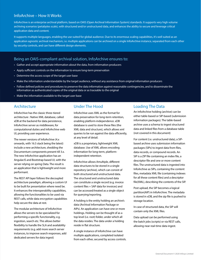### InfoArchive – How It Works

InfoArchive is an enterprise archival platform, based on OAIS (Open Archival Information System) standards. It supports very high volume archiving scenarios (petabytes scale), with structured and/or unstructured data, and enhances the ability to secure and leverage critical application data and content.

It supports multiple languages, enabling the use suited for global audience. Due to its enormous scaling capabilities, it's well suited as an application agnostic archival mechanism, i.e. multiple applications can be archived on a single InfoArchive instance, separated from each other by security controls, and can have different design elements.

#### Being an OAIS-compliant archival solution, InfoArchive ensures to:

- Gather and accept appropriate information about the data, from information producers
- Apply sufficient controls on the information to ensure long-term preservation
- Determine the access scope of the target user base
- Make the information understandable by the target audience, without any assistance from original information producers
- Follow defined policies and procedures to preserve the data information against reasonable contingencies, and to disseminate the information as authenticated copies of the original data or as traceable to the original
- Make the information available to the target user base

#### Architecture

InfoArchive has the classic three-tiered architecture : Native XML database, called xDB at the backend for data persistence, InfoArchive server as middleware, for computational duties and InfoArchive web UI, providing user experience.

The newer versions of InfoArchive (4.x onwards, with 16.5 stack being the latest) include a new architecture, shedding the Documentum components present till 3.x. The new InfoArchive application has an AngularJS and Bootstrap based UI, with the server relying on spring Data. The result is an application that is lightweight and more performant.

The REST API layer follows the decoupled architecture paradigm, allowing a custom UI to be built for presentation where need be. It enhances the interoperability capabilities, allowing the functionalities to be used via REST calls, while data encryption capabilities help secure the data at rest.

The modular architecture of InfoArchive allows the servers to be specialized for performing a specific functionality, e.g. ingestion, search etc. This allows better flexibility to handle the SLA and availability requirements (e.g. add more search server instances, to improve search responses, add dedicated servers for data ingest)

#### Under The Hood

InfoArchive uses XML as the format for data preservation for long-term retention, enabling platform-independence. xDB database is used to store these files (the XML data and structure), which allows xml queries to be run against the data efficiently, at any level of detail.

xDB is a proprietary, lightweight XML database. Use of XML allows encoding information for long-term, platformindependent retention.

InfoArchive allows Amultiple, different data structures to be stored in a single repository (archive), which can consist of both structured and unstructured data. The structured and unstructured data can constitute a single record (e.g. invoice content files + SAP data for invoices) and can be accessed/treated as a single object for querying/reporting.

A holding is the entity holding an archive's data (Archival Information Package or AIPs). An application can have one or more holdings. Holding can be thought of as a top level (i.e. root) folder, under which all the data resides. The data under a holding reside in flat structure.

A single instance of InfoArchive can have multiple applications, completed isolated from each other, secured by access controls.

#### Loading The Data

An InfoArchive holding (archive) can be either table-based or SIP-based (submission information packages). The table-based archive uses a schema to ingest structured data and linked files from a database table (not covered in this document)

For content (i.e. unstructured data), a SIPbased archive uses submission information packages (SIPs) to ingest data from files, data records, or compound records. An SIP is a ZIP file containing an index file, a descriptor file and one or more content files. The unstructured data is ingested into InfoArchive as SIPs, containing the content files, metadata XML file (containing indexes for all these content files) and a descriptor file(XML), describing the contents of the SIP.

Post upload, the SIP becomes a logical partition(AIP) in InfoArchive. The metadata is stored in xDB, and the zip file is pushed to storage location.

In case of structured data, the SIP will contain only the XML files.

Data upload can be performed using the batch jobs (scripts) or via REST calls, allowing near real-time data ingest.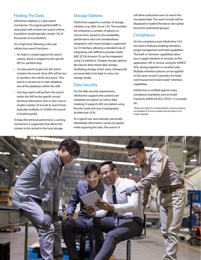# Finding The Data

InfoArchive deploys a 2 step search mechanism. The logical partition(AIP) is associated with at least one search criteria. A partition would typically contain 10s of thousands of records(AIUs).

On a high level, following is the way InfoArchive search functions –

- An index is created against the search criteria, which is mapped to the specific AIP (i.e. partition key)
- 1st step search locates the AIP, which contains the record. Since AIPs will be low in numbers, this will be very quick. This search is carried out in main database, one of the databases within the xDB
- 2nd step search will perform the search within the AIP, for the specific record (Archival Information Unit or AIU). Due to smaller number of records to search from (typically multiples of 10,000), the record is located quickly

To keep the retrieval performant, a caching mechanism is supported, that allows the content to be cached in the local storage

# Storage Options

InfoArchive supports a number of storage solutions, e.g. SAN, cloud, CAS. This provides the enterprise a number of options to choose from, based on the availability, performance and cost considerations. Integration with cloud storage is supported via S3 interface, allowing a standard way of integrating with different providers (both EMC ECS & Amazon S3 can be integrated using S3 interface). Cheaper storage options like Glacier allow tiered data storage, facilitating storage of low value, infrequently accessed data to be kept in a low cost storage media.

### Data Security

For the data security requirements, InfoArchive supports the content and metadata encryption as well as data masking. It supports AES encryption using Bounty Castle and Java Cryptography Architecture (JCA)

As a typical use case example, personally identifiable information can be encrypted while ingesting the data. The search UI

will allow authorized users to search the encrypted data. The search results will be displayed in masked format (or decrypted format for authorized groups).

# **Compliance**

On the compliance end, InfoArchive 16.5 has built in features enabling retention/ purge management and hold capabilities. The built-in retention capabilities allow you to apply retention to records, on the application, AIP or record, using the UI/REST APIs, during ingestion or via batch jobs. Multiple retention policies can be applied to the same record. It provides the fixed, event-based and mixed mode\* retention capabilities.

InfoArchive is certified against many compliance standards such as Dodd-Frank(US), MiFID2/R (EU), OFSI E-13 (Canada) etc.

\*Retain the object for a fixed duration, however dispose immediately if an event implies that the object is no longer required .

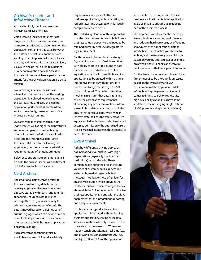#### Archival Scenarios and InfoArchive Fitment

Archival typically has 2 use cases - cold archiving, and live archiving.

Cold archiving includes data that is no longer part of live business processes, and its more cost effective to decommission the application containing this data. However, this data can be valuable to the business and important to preserve for compliance reasons, and hence this data set is archived, usually in one go (or in a limited, defined number of migration cycles). Access to this data is infrequent, hence performance criteria for the archival application are quite relaxed.

Live archiving refers to the use case where live business data from the leading application is archived regularly, to obtain the cost savings, and keep the leading application performant. While this data set too is read only, however the archival process is always running.

Live archiving is characterized by high ingest rate, as well as higher search/retrieval volumes compared to cold archiving, often with a custom/3rd party application accessing the InfoArchive data. Since the data is still used by the leading live application, performance and availability requirements are often quite stringent.

Below sections provide some more details on both the archival scenarios, and fitment of InfoArchive for both the cases.

#### Cold Archival

The traditional data archiving refers to the process of moving data from the primary application to a read-only, cost effective storage with search and retention capabilities, coupled with restricted access patterns (e.g. accessible only to administrators /limited set of users). The data is moved based on a defined set of criteria (e.g. age), which can be one time or as multiple steps process. This scenario is often associated with business application decommissioning.

Such archival applications, typically would have relaxed SLAs and availability requirements, compared to the live business applications, with data sitting in retired status, and accessed only for legal/ compliance requirements.

The underlying element of this approach is that the data has reached end-of-life from a business value perspective, and need to be retained primarily because of regulatory/ legal requirements.

For this scenario, InfoArchive is a straight fit, providing a low cost, flexible solution, with ability to store large volume of data for extended period of time, in a client agnostic format. It allows multiple archival applications to be created within a single InfoArchive instance, with options for a number of storage media (e.g. ECS, S3) to be configured. The built-in retention mechanism ensures that data is retained as per the compliance requirements, eliminating any accidental/malicious data losses. Robust data encryption capabilities ensure that sensitive data, while lying in inactive state, still has the safety measures equivalent to live business data. Role based accesses permits only the authorized users (typically a small number in this scenario) to access the data.

#### Live Archival

A slightly different archiving approach has increasingly found favor with large organizations (especially the financial institutions) in past decade. These companies, owing to the ever-increasing volumes of customer data, e.g. account statements, marketing e-mails, text messages, notifications etc. often look for an archival solution which provides the traditional archival cost advantages, but can also match the SLA requirements of the live business applications, along with the digital enablement for the integrations, reporting and analytics requirements.

In this scenario, typically the archival application is integrated with the leading business application, serving as its data store or sometimes directly exposed to the users via a custom search UI. Writes can happen synchronously, near-real-time (e.g. end of workflow), or asynchronously (e.g. batch jobs). Read SLAs of the applications

are expected to be on par with the live business applications. Archival application availability is also critical, due to it being part of the business process.

This approach can decrease the load on a live application, increasing performance and reducing hardware costs, by offloading some/most of the application's data to InfoArchive. The data that you choose to archive, and the frequency of archiving, is based on your business rules. For example, on a weekly basis, a bank can archive all bank statements that are a year old or more

For the live archiving scenario, InfoArchive's fitment needs to be thoroughly assessed, based on the availability and SLA requirements of the application. While InfoArchive is quite performant when it comes to ingest, search or retrieval, its high availability capabilities have some limitations (the underlying single instance of xDB presents a single point of failure).

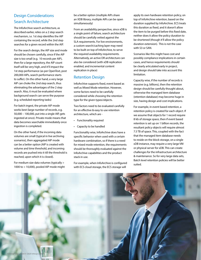# Design Considerations Search Architecture

The InfoArchive search architecture, as described earlier, relies on a 2 step search mechanism, i.e. 1st step identifies the AIP containing the record, while the 2nd step searches for a given record within the AIP.

For the search design, the AIP size and mode should be chosen carefully, since if the AIP size is too small (e.g. 10 records per AIP), then for a large repository, the AIP count itself will be very high, and it'll impact the 1st step performance (as per OpenText, post 200,000 AIPs, search performance starts to suffer). On the other hand, a very large AIP can choke the 2nd step search, thus eliminating the advantages of the 2 step search. Also, it must be evaluated where background search can serve the purpose (e.g. scheduled reporting tasks)

For batch ingest, the private AIP mode works best (large number of records, e.g. 50,000 – 100,000, put into a single AIP, gets ingested at once). Private mode means that data becomes searchable immediately once ingestion is completed.

On the other hand, if the incoming data volumes are small (typical in live archiving scenarios), then aggregated AIP mode can be a better option (AIP is created with volume and time threshold, and incoming records are pushed into it till the threshold is reached, upon which it is closed).

For medium size data volumes (typically > 1000 to < 10,000), pooled AIP mode might be a better option (multiple AIPs share an XDB library, multiple AIPs can be open simultaneously)

From an availability perspective, since xDB is a single point of failure, search architecture should be carefully vetted against the SLA requirements. For live environments, a custom search/caching layer may need to be built on top of InfoArchive, to serve the required availability requirements. Alternatively, an active DR architecture can also be considered (with xDB replication enabled, and incremental content replication in place)

# Retention Design

InfoArchive supports fixed, event based as well as Mixed Mode retention. However, some factors need to be carefully considered while choosing the retention type for the given types/objects.

Two factors need to be evaluated carefully for an effective & easy to use retention architecture, which are -

- Functionality required
- Capacity to be handled

Functionality wise, InfoArchive does have a specific behavior when used with a certain hardware combination, so if there is a need for mixed mode retention, the requirements should be thoroughly evaluated against the InfoArchive capabilities and the product stack in use.

For example, when InfoArchive is configured with ECS cloud storage, the ECS storage will

apply its own hardware retention policy, on top of InfoArchive retention, based on the duration supplied by InfoArchive. ECS treats this duration as fixed, and it doesn't allow the item to be purged before this fixed date, neither does it allow the policy duration to be shortened (though it'll allow the policy duration extension). This is not the case with S3 or SAN.

Scenarios like this might have cost and possibly compliance implications in certain cases, and hence requirements should be clearly articulated early in project, and design should take into account this limitation.

Capacity wise, if the number of records is massive (e.g. billions), then the retention design should be carefully thought about, otherwise the managed item database (retention database) may become huge in size, having design and cost implications.

For example, in event based retention, a retention policy is created for each object. If we assume that objects for 1 record require 8 kb of storage space, then if event based retention is set up on 1 billion records, the resultant policy objects will require almost 7.5 TB of space. This, coupled with the fact that the managed item database needs to reside on the block storage, on a single xDB instance, may require a very large VM or physical server for xDB. This can create challenges for the infrastructure architecture & maintenance. So for very large data sets, Batch level retention policies will be better suited.

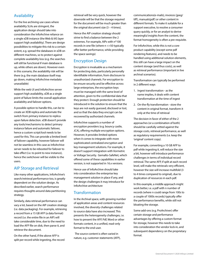# Availability

For the live archiving use cases where availability SLAs are stringent, the application design should take into consideration the InfoArchive reliance on a single xDB instance (the Web & IAS layer support high availability). There are design possibilities to mitigate this risk to a certain extent, e.g. spread the databases in xDB on different machines, so to protect against complete availability loss (e.g. the searches will still be functional if main database is up, while others are down). However even in this scenario, the availability risk will be there (e.g. the main database itself may go down, making InfoArchive metadata unavailable)

While the web UI and InfoArchive server support high availability, xDB as a single point of failure limits the overall application availability and failover options.

A possible option to handle this, can be to create an XDB replica and automate the switch from primary instance to replica upon failure detection. xDB doesn't provide any tools/mechanisms to detect primary instance failure and automatic failover, hence a custom script/tool needs to be used for this. This can provide a limited level of failover capability, however failover will not be seamless in this case as InfoArchive server needs to be rebooted for failover to take effect (i.e. to point to new instance), hence the switchover will be visible to the users.

### AIP Storage and Retrieval

Like many other applications, InfoArchive's search/retrieval performance too, is greatly dependent on the solution design. As described earlier, search performance requires thoughts around data partitioning strategy.

Similarly, data retrieval performance can vary a lot, based on the AIP creation strategy (i.e. data packaging). For example, retrieving a record from a 15 GB AFP (a data format) record (i.e. the entire file in an AIP) will take considerable time, due to the need to load the AFP file on disk, then parse it, and retrieve the document.

On the other hand, if the above AFP is split per record while ingesting, the record retrieval will be very quick, however the downside will be that the storage required for the document will be much greater than the original document size  $(3 - 4)$  times).

Hence the AIP creation strategy should strive to find a balance between the 2 extremes. For example, AIPs with n\*100 records in one file (where n <=50 typically offer better performance, while providing the space savings)

# Encryption Design

Encryption is invaluable as a mechanism for protecting data, particularly personally identifiable information, from disclosure to unauthorized channels. For encryption to be ensure security and be effective across large enterprises, the encryption keys must be managed with the same level of attention, given to the confidential data that they protect. Enough protection should be introduced in the solution to ensure that the keys are not easily guessed, disclosed or lost, and so that the data they encrypt can be recovered by authorized channels.

InfoArchive supports a number of encryption providers (e.g. bouncy castle, JCA), offering multiple encryption options. However, it provides limited options when it comes to integrate with more sophisticated centralized encryption and key management solutions. For example, it doesn't support integration with Vormetric or Voltage Security. Gemalto-SafeNet, which offered some of these capabilities in earlier version, is not supported in 16.x versions.

Hence use of InfoArchive should take into consideration the enterprise key management solution in place if any, and the design challenges it may introduce for InfoArchive architecture

# **Transformation**

In the Archival space, with growing number of application areas and content resources involved, the diversity challenges related to source data have also increased. This presents the heterogeneity challenges, i.e. how to present the AFP, Pdf, Word or other formats content, in a unified, read-only format to the end-user.

 The source content is often varied in nature, e.g. customer statements (AFP), communications(e-mails), invoices (jpeg/ tiff), manuals(pdf) or other content in different formats. To make it suitable for a support executive, to resolve a consumer query quickly, or for an analyst to derive meaningful insights from the content, the format homogeneity is often a pre-requisite.

For InfoArchive, while this is not a core product capability (except some pdf rendering features), and needs to be handled using additional solution elements, this still can have a large impact on the content storage (and thus costs), as well as retrieval performance (important in live archival scenarios).

Transformation can typically be performed in 2 different ways

- 1. Ingest transformation as the name implies, it deals with content transformation at the time of ingest
- 2. On-the-fly transformation store the content in original format, transform it only at the time of retrieval

The decision in favor of either of the 2 approaches (or a combination of both) should be carefully vetted against the storage costs, retrieval performance, as well as regulatory requirements (i.e. keep the 'original' content copy).

For example, converting a 10 GB AFP to pdf while ingesting it, will reduce the size a bit, however will introduce performance challenges in terms of individual record retrieval. The same AFP, if split at each record level, will make the retrievals very efficient, however the size will increase multifold (3 to 4 times compared to original), due to duplication of resources in each pdf.

In this example, a middle approach might work better, i.e. a pdf with n number of records (where n could range from 100s to a couple of 1000s records) typically offer the performance benefits, while still not bloating the storage.

Some add-ons (e.g. ProArchiver) offer certain storage and performance advantages by offering a custom format for storage, however this needs to take into consideration the vendor lock-in, and subsequent dependency on the proprietary format.